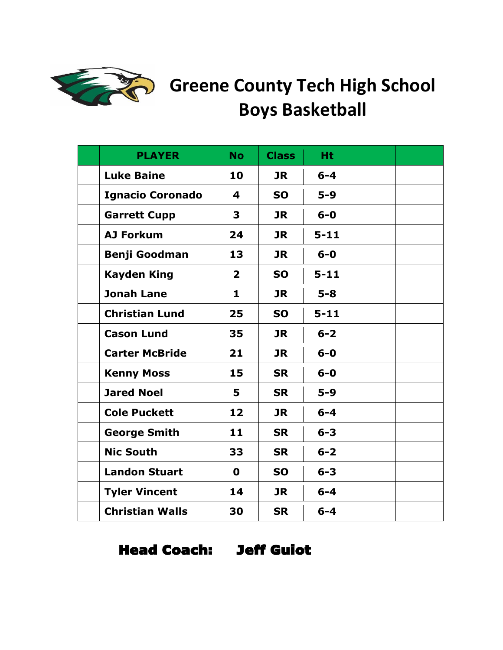

## Greene County Tech High School **Boys Basketball**

| <b>PLAYER</b>           | <b>No</b>               | <b>Class</b> | <b>Ht</b> |  |
|-------------------------|-------------------------|--------------|-----------|--|
| <b>Luke Baine</b>       | 10                      | <b>JR</b>    | $6 - 4$   |  |
| <b>Ignacio Coronado</b> | 4                       | <b>SO</b>    | $5-9$     |  |
| <b>Garrett Cupp</b>     | 3                       | <b>JR</b>    | $6 - 0$   |  |
| <b>AJ Forkum</b>        | 24                      | <b>JR</b>    | $5 - 11$  |  |
| <b>Benji Goodman</b>    | 13                      | <b>JR</b>    | $6-0$     |  |
| <b>Kayden King</b>      | $\overline{\mathbf{2}}$ | <b>SO</b>    | $5 - 11$  |  |
| <b>Jonah Lane</b>       | 1                       | <b>JR</b>    | $5 - 8$   |  |
| <b>Christian Lund</b>   | 25                      | <b>SO</b>    | $5 - 11$  |  |
| <b>Cason Lund</b>       | 35                      | <b>JR</b>    | $6 - 2$   |  |
| <b>Carter McBride</b>   | 21                      | <b>JR</b>    | $6-0$     |  |
| <b>Kenny Moss</b>       | 15                      | <b>SR</b>    | $6-0$     |  |
| <b>Jared Noel</b>       | 5                       | <b>SR</b>    | $5-9$     |  |
| <b>Cole Puckett</b>     | 12                      | <b>JR</b>    | $6 - 4$   |  |
| <b>George Smith</b>     | 11                      | <b>SR</b>    | $6 - 3$   |  |
| <b>Nic South</b>        | 33                      | <b>SR</b>    | $6 - 2$   |  |
| <b>Landon Stuart</b>    | $\mathbf 0$             | <b>SO</b>    | $6 - 3$   |  |
| <b>Tyler Vincent</b>    | 14                      | <b>JR</b>    | $6 - 4$   |  |
| <b>Christian Walls</b>  | 30                      | <b>SR</b>    | $6 - 4$   |  |

Head Coach: Jeff Guiot